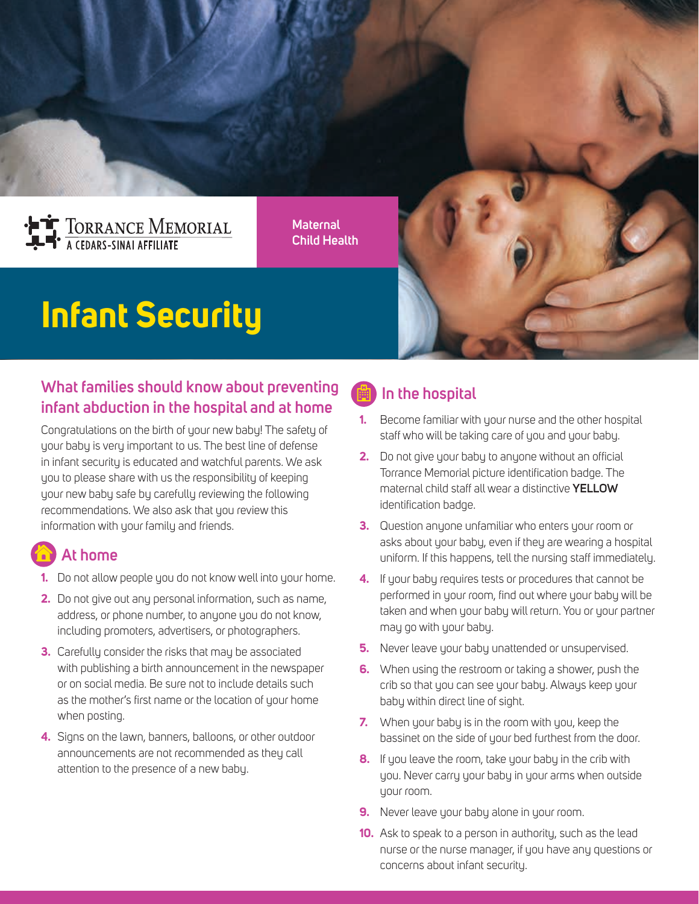

**Maternal Child Health**

# **Infant Security**

#### **What families should know about preventing infant abduction in the hospital and at home**

Congratulations on the birth of your new baby! The safety of your baby is very important to us. The best line of defense in infant security is educated and watchful parents. We ask you to please share with us the responsibility of keeping your new baby safe by carefully reviewing the following recommendations. We also ask that you review this information with your family and friends.

## **At home**

- **1.** Do not allow people you do not know well into your home.
- **2.** Do not give out any personal information, such as name, address, or phone number, to anyone you do not know, including promoters, advertisers, or photographers.
- **3.** Carefully consider the risks that may be associated with publishing a birth announcement in the newspaper or on social media. Be sure not to include details such as the mother's first name or the location of your home when posting.
- **4.** Signs on the lawn, banners, balloons, or other outdoor announcements are not recommended as they call attention to the presence of a new baby.

### **In the hospital**

- **1.** Become familiar with your nurse and the other hospital staff who will be taking care of you and your baby.
- **2.** Do not give your baby to anyone without an official Torrance Memorial picture identification badge. The maternal child staff all wear a distinctive **YELLOW**  identification badge.
- **3.** Question anyone unfamiliar who enters your room or asks about your baby, even if they are wearing a hospital uniform. If this happens, tell the nursing staff immediately.
- **4.** If your baby requires tests or procedures that cannot be performed in your room, find out where your baby will be taken and when your baby will return. You or your partner may go with your baby.
- **5.** Never leave your baby unattended or unsupervised.
- **6.** When using the restroom or taking a shower, push the crib so that you can see your baby. Always keep your baby within direct line of sight.
- **7.** When your baby is in the room with you, keep the bassinet on the side of your bed furthest from the door.
- **8.** If you leave the room, take your baby in the crib with you. Never carry your baby in your arms when outside your room.
- **9.** Never leave your baby alone in your room.
- **10.** Ask to speak to a person in authority, such as the lead nurse or the nurse manager, if you have any questions or concerns about infant security.